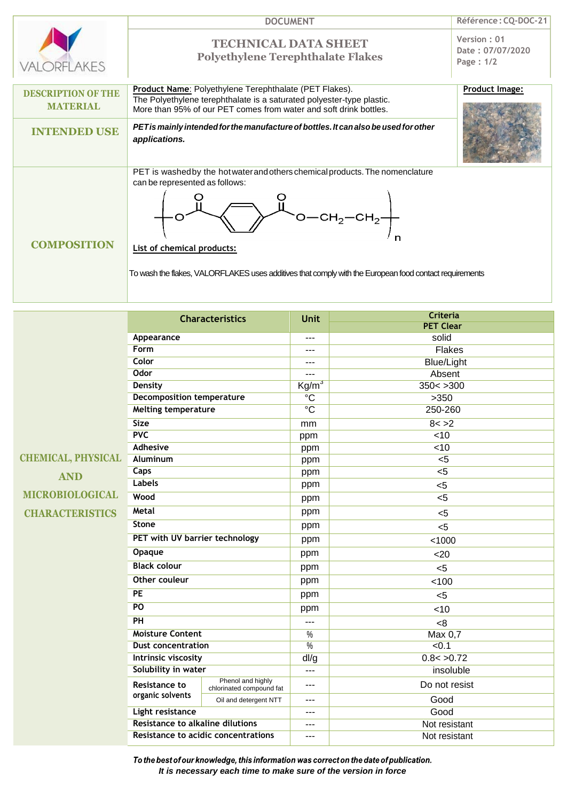

 $Réference:  $CQ\text{-}DOC\text{-}21$$ 

## **TECHNICAL DATA SHEET Polyethylene Terephthalate Flakes**

**Date : 07/07/2020 Page : 1/2**

**Version : 01**

## **Product Image:**

**Product Name**: Polyethylene Terephthalate (PET Flakes). **DESCRIPTION OF THE**  The Polyethylene terephthalate is a saturated polyester-type plastic. **MATERIAL** More than 95% of our PET comes from water and soft drink bottles. **INTENDED USE** *PETis mainly intendedforthe manufactureof bottles.It canalsobe used forother applications.* PET is washed by the hot water and others chemical products. The nomenclature can be represented as follows:  $\circ$ O  $\sim$ O $-$ CH<sub>2</sub> $-$ CH<sub>2</sub> **COMPOSITION List of chemical products:** To wash the flakes, VALORFLAKES uses additives that comply with the European food contact requirements

|                           | <b>Characteristics</b>                                                                                                 |                                               | <b>Unit</b>                | Criteria          |
|---------------------------|------------------------------------------------------------------------------------------------------------------------|-----------------------------------------------|----------------------------|-------------------|
|                           |                                                                                                                        |                                               |                            | <b>PET Clear</b>  |
|                           | Appearance                                                                                                             |                                               | $---$                      | solid             |
|                           | Form                                                                                                                   |                                               | ---                        | <b>Flakes</b>     |
|                           | <b>Color</b>                                                                                                           |                                               | ---                        | <b>Blue/Light</b> |
|                           | <b>Odor</b>                                                                                                            |                                               | ---                        | Absent            |
|                           | <b>Density</b>                                                                                                         |                                               | $\overline{\text{Kg/m}^3}$ | 350 < 300         |
|                           | <b>Decomposition temperature</b>                                                                                       |                                               | $\overline{C}$             | >350              |
|                           | <b>Melting temperature</b>                                                                                             |                                               | $\overline{C}$             | 250-260           |
|                           | <b>Size</b>                                                                                                            |                                               | mm                         | 8 < 2             |
|                           | PVC                                                                                                                    |                                               | ppm                        | $\overline{5}$    |
|                           | <b>Adhesive</b>                                                                                                        |                                               | ppm                        | <10               |
| <b>CHEMICAL, PHYSICAL</b> | <b>Aluminum</b>                                                                                                        |                                               | ppm                        | $\overline{5}$    |
| <b>AND</b>                | <b>Caps</b>                                                                                                            |                                               | ppm                        | $\overline{5}$    |
|                           | <b>Labels</b>                                                                                                          |                                               | ppm                        | $5$               |
| <b>MICROBIOLOGICAL</b>    | Wood                                                                                                                   |                                               | ppm                        | 5                 |
| <b>CHARACTERISTICS</b>    | <b>Metal</b>                                                                                                           |                                               | ppm                        | < 5               |
|                           | <b>Stone</b>                                                                                                           |                                               | ppm                        | $5$               |
|                           | PET with UV barrier technology                                                                                         |                                               | ppm                        | < 1000            |
|                           | <b>Opaque</b><br><b>Black colour</b><br><b>Other couleur</b><br>$\overline{PE}$<br>PO<br>PH<br><b>Moisture Content</b> |                                               | ppm                        | $20$              |
|                           |                                                                                                                        |                                               | ppm                        | < 5               |
|                           |                                                                                                                        |                                               | ppm                        | 100               |
|                           |                                                                                                                        |                                               | ppm                        | $5$               |
|                           |                                                                                                                        |                                               | ppm                        | <10               |
|                           |                                                                                                                        |                                               | $\overline{a}$             | < 8               |
|                           |                                                                                                                        |                                               | $\%$                       | Max 0,7           |
|                           | <b>Dust concentration</b>                                                                                              |                                               | $\frac{0}{6}$              | $-0.1$            |
|                           | Intrinsic viscosity                                                                                                    |                                               | dl/g                       | 0.8 < 0.72        |
|                           | Solubility in water                                                                                                    |                                               | ---                        | insoluble         |
|                           | <b>Resistance to</b>                                                                                                   | Phenol and highly<br>chlorinated compound fat | ---                        | Do not resist     |
|                           | organic solvents                                                                                                       | Oil and detergent NTT                         | ---                        | Good              |
|                           | <b>Light resistance</b><br><b>Resistance to alkaline dilutions</b><br>Resistance to acidic concentrations              |                                               | $---$                      | Good              |
|                           |                                                                                                                        |                                               | ---                        | Not resistant     |
|                           |                                                                                                                        |                                               | $---$                      | Not resistant     |

To the best of our knowledge, this information was correct on the date of publication. *It is necessary each time to make sure of the version in force*